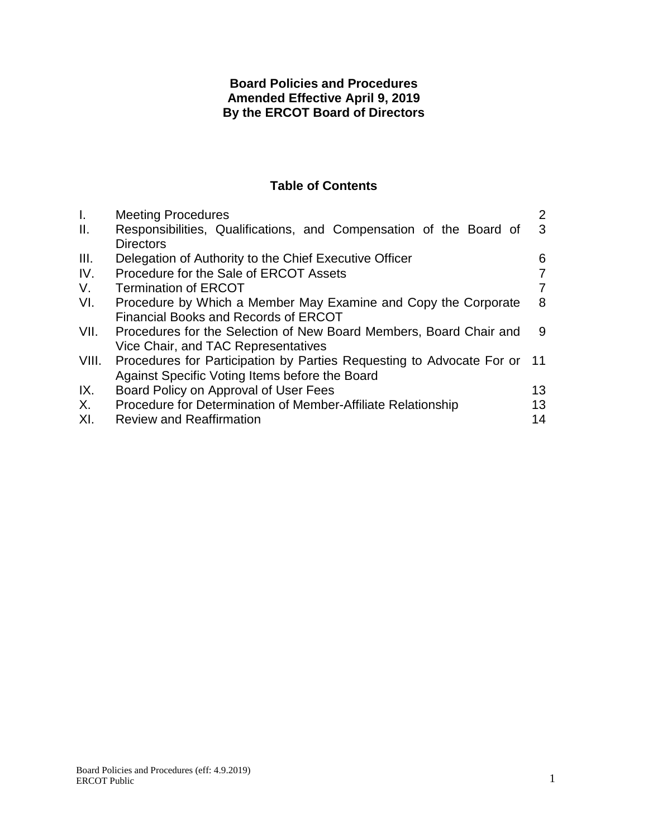# **Board Policies and Procedures Amended Effective April 9, 2019 By the ERCOT Board of Directors**

# **Table of Contents**

| $\mathbf{I}$ . | <b>Meeting Procedures</b>                                             | $\overline{2}$ |
|----------------|-----------------------------------------------------------------------|----------------|
| II.            | Responsibilities, Qualifications, and Compensation of the Board of    | 3              |
|                | <b>Directors</b>                                                      |                |
| III.           | Delegation of Authority to the Chief Executive Officer                | 6              |
| IV.            | Procedure for the Sale of ERCOT Assets                                |                |
| V.             | <b>Termination of ERCOT</b>                                           | 7              |
| VI.            | Procedure by Which a Member May Examine and Copy the Corporate        | 8              |
|                | <b>Financial Books and Records of ERCOT</b>                           |                |
| VII.           | Procedures for the Selection of New Board Members, Board Chair and    | 9              |
|                | Vice Chair, and TAC Representatives                                   |                |
| VIII.          | Procedures for Participation by Parties Requesting to Advocate For or | 11             |
|                | Against Specific Voting Items before the Board                        |                |
| IX.            | Board Policy on Approval of User Fees                                 | 13             |
| X.             | Procedure for Determination of Member-Affiliate Relationship          | 13             |
| XI.            | <b>Review and Reaffirmation</b>                                       | 14             |
|                |                                                                       |                |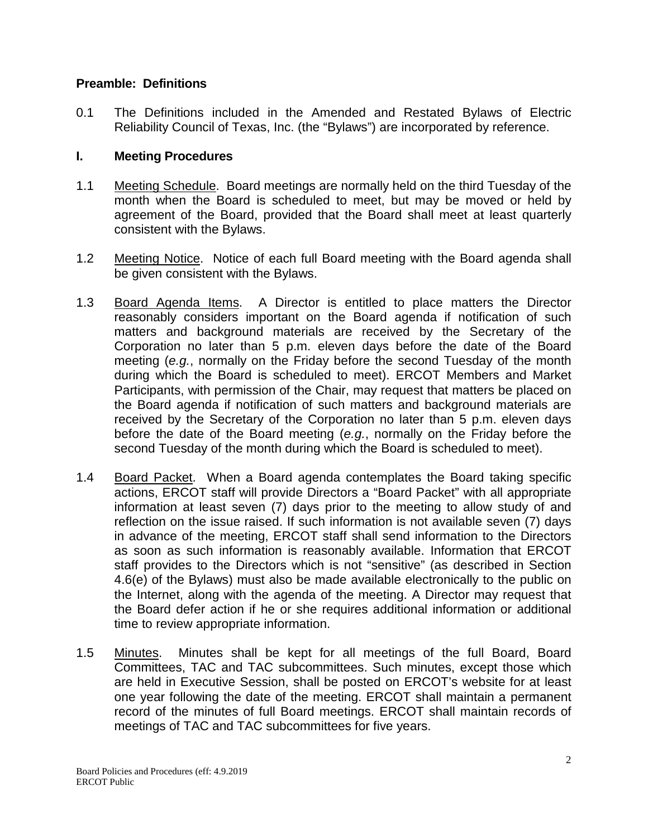### **Preamble: Definitions**

0.1 The Definitions included in the Amended and Restated Bylaws of Electric Reliability Council of Texas, Inc. (the "Bylaws") are incorporated by reference.

## **I. Meeting Procedures**

- 1.1 Meeting Schedule. Board meetings are normally held on the third Tuesday of the month when the Board is scheduled to meet, but may be moved or held by agreement of the Board, provided that the Board shall meet at least quarterly consistent with the Bylaws.
- 1.2 Meeting Notice. Notice of each full Board meeting with the Board agenda shall be given consistent with the Bylaws.
- 1.3 Board Agenda Items. A Director is entitled to place matters the Director reasonably considers important on the Board agenda if notification of such matters and background materials are received by the Secretary of the Corporation no later than 5 p.m. eleven days before the date of the Board meeting (*e.g.*, normally on the Friday before the second Tuesday of the month during which the Board is scheduled to meet). ERCOT Members and Market Participants, with permission of the Chair, may request that matters be placed on the Board agenda if notification of such matters and background materials are received by the Secretary of the Corporation no later than 5 p.m. eleven days before the date of the Board meeting (*e.g.*, normally on the Friday before the second Tuesday of the month during which the Board is scheduled to meet).
- 1.4 Board Packet. When a Board agenda contemplates the Board taking specific actions, ERCOT staff will provide Directors a "Board Packet" with all appropriate information at least seven (7) days prior to the meeting to allow study of and reflection on the issue raised. If such information is not available seven (7) days in advance of the meeting, ERCOT staff shall send information to the Directors as soon as such information is reasonably available. Information that ERCOT staff provides to the Directors which is not "sensitive" (as described in Section 4.6(e) of the Bylaws) must also be made available electronically to the public on the Internet, along with the agenda of the meeting. A Director may request that the Board defer action if he or she requires additional information or additional time to review appropriate information.
- 1.5 Minutes. Minutes shall be kept for all meetings of the full Board, Board Committees, TAC and TAC subcommittees. Such minutes, except those which are held in Executive Session, shall be posted on ERCOT's website for at least one year following the date of the meeting. ERCOT shall maintain a permanent record of the minutes of full Board meetings. ERCOT shall maintain records of meetings of TAC and TAC subcommittees for five years.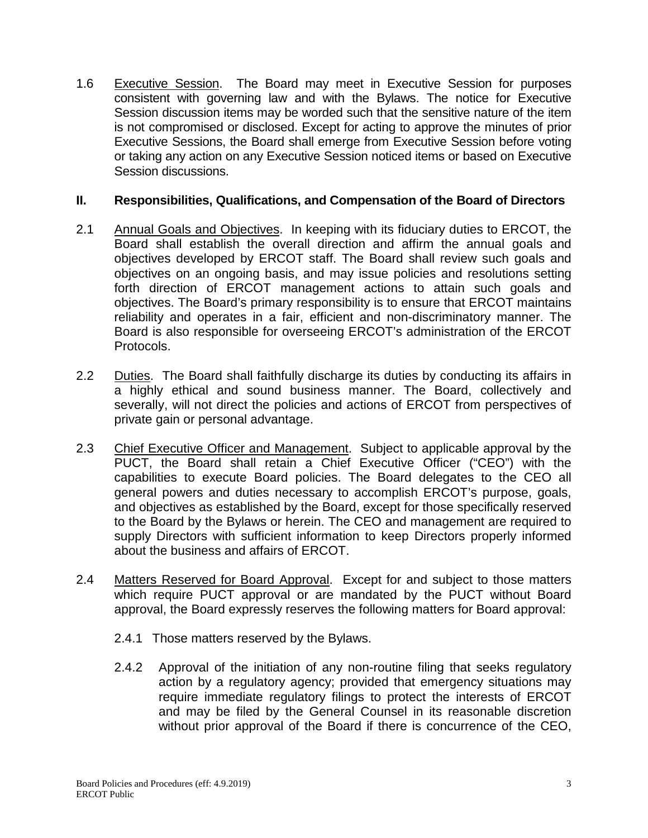1.6 Executive Session. The Board may meet in Executive Session for purposes consistent with governing law and with the Bylaws. The notice for Executive Session discussion items may be worded such that the sensitive nature of the item is not compromised or disclosed. Except for acting to approve the minutes of prior Executive Sessions, the Board shall emerge from Executive Session before voting or taking any action on any Executive Session noticed items or based on Executive Session discussions.

### **II. Responsibilities, Qualifications, and Compensation of the Board of Directors**

- 2.1 Annual Goals and Objectives. In keeping with its fiduciary duties to ERCOT, the Board shall establish the overall direction and affirm the annual goals and objectives developed by ERCOT staff. The Board shall review such goals and objectives on an ongoing basis, and may issue policies and resolutions setting forth direction of ERCOT management actions to attain such goals and objectives. The Board's primary responsibility is to ensure that ERCOT maintains reliability and operates in a fair, efficient and non-discriminatory manner. The Board is also responsible for overseeing ERCOT's administration of the ERCOT Protocols.
- 2.2 Duties. The Board shall faithfully discharge its duties by conducting its affairs in a highly ethical and sound business manner. The Board, collectively and severally, will not direct the policies and actions of ERCOT from perspectives of private gain or personal advantage.
- 2.3 Chief Executive Officer and Management. Subject to applicable approval by the PUCT, the Board shall retain a Chief Executive Officer ("CEO") with the capabilities to execute Board policies. The Board delegates to the CEO all general powers and duties necessary to accomplish ERCOT's purpose, goals, and objectives as established by the Board, except for those specifically reserved to the Board by the Bylaws or herein. The CEO and management are required to supply Directors with sufficient information to keep Directors properly informed about the business and affairs of ERCOT.
- 2.4 Matters Reserved for Board Approval. Except for and subject to those matters which require PUCT approval or are mandated by the PUCT without Board approval, the Board expressly reserves the following matters for Board approval:
	- 2.4.1 Those matters reserved by the Bylaws.
	- 2.4.2 Approval of the initiation of any non-routine filing that seeks regulatory action by a regulatory agency; provided that emergency situations may require immediate regulatory filings to protect the interests of ERCOT and may be filed by the General Counsel in its reasonable discretion without prior approval of the Board if there is concurrence of the CEO,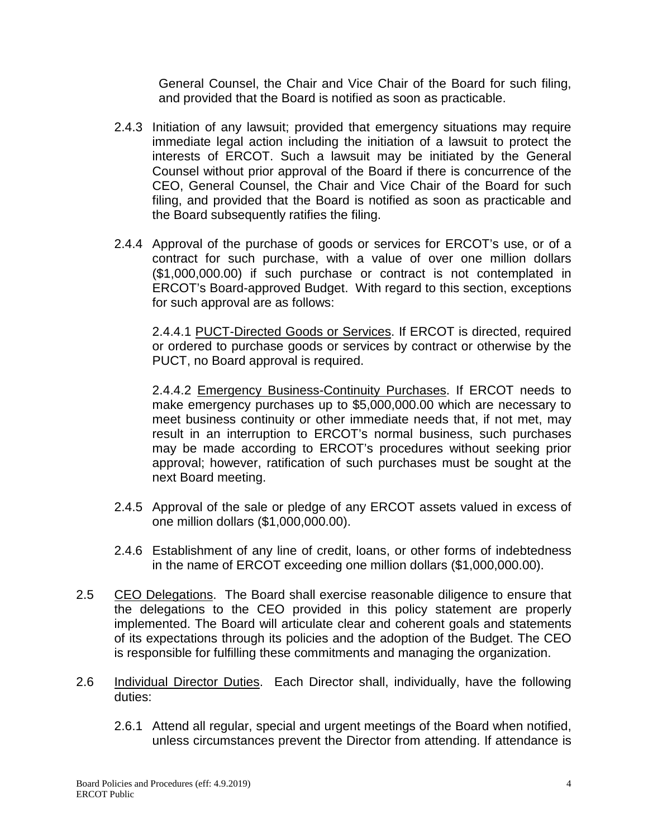General Counsel, the Chair and Vice Chair of the Board for such filing, and provided that the Board is notified as soon as practicable.

- 2.4.3 Initiation of any lawsuit; provided that emergency situations may require immediate legal action including the initiation of a lawsuit to protect the interests of ERCOT. Such a lawsuit may be initiated by the General Counsel without prior approval of the Board if there is concurrence of the CEO, General Counsel, the Chair and Vice Chair of the Board for such filing, and provided that the Board is notified as soon as practicable and the Board subsequently ratifies the filing.
- 2.4.4 Approval of the purchase of goods or services for ERCOT's use, or of a contract for such purchase, with a value of over one million dollars (\$1,000,000.00) if such purchase or contract is not contemplated in ERCOT's Board-approved Budget. With regard to this section, exceptions for such approval are as follows:

2.4.4.1 PUCT-Directed Goods or Services. If ERCOT is directed, required or ordered to purchase goods or services by contract or otherwise by the PUCT, no Board approval is required.

2.4.4.2 Emergency Business-Continuity Purchases. If ERCOT needs to make emergency purchases up to \$5,000,000.00 which are necessary to meet business continuity or other immediate needs that, if not met, may result in an interruption to ERCOT's normal business, such purchases may be made according to ERCOT's procedures without seeking prior approval; however, ratification of such purchases must be sought at the next Board meeting.

- 2.4.5 Approval of the sale or pledge of any ERCOT assets valued in excess of one million dollars (\$1,000,000.00).
- 2.4.6 Establishment of any line of credit, loans, or other forms of indebtedness in the name of ERCOT exceeding one million dollars (\$1,000,000.00).
- 2.5 CEO Delegations. The Board shall exercise reasonable diligence to ensure that the delegations to the CEO provided in this policy statement are properly implemented. The Board will articulate clear and coherent goals and statements of its expectations through its policies and the adoption of the Budget. The CEO is responsible for fulfilling these commitments and managing the organization.
- 2.6 Individual Director Duties. Each Director shall, individually, have the following duties:
	- 2.6.1 Attend all regular, special and urgent meetings of the Board when notified, unless circumstances prevent the Director from attending. If attendance is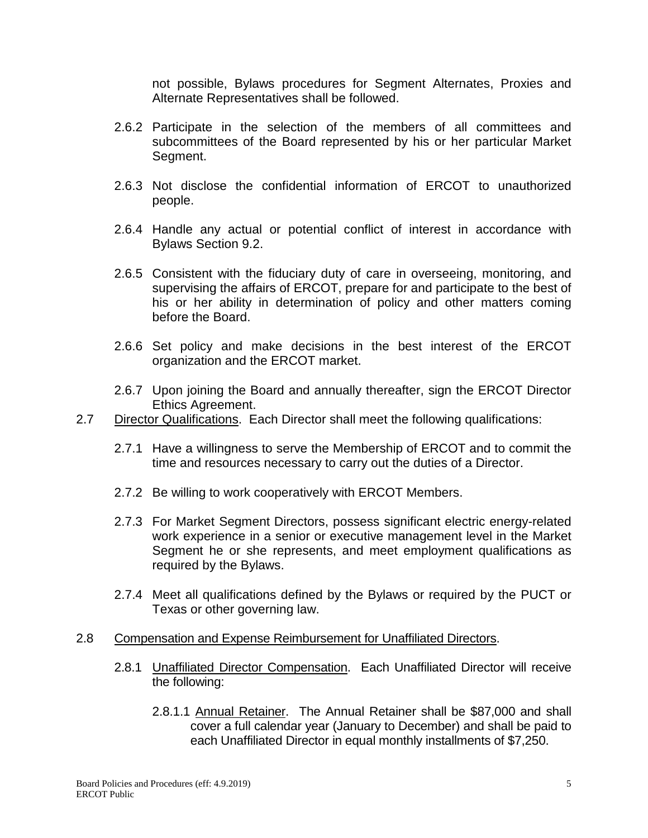not possible, Bylaws procedures for Segment Alternates, Proxies and Alternate Representatives shall be followed.

- 2.6.2 Participate in the selection of the members of all committees and subcommittees of the Board represented by his or her particular Market Segment.
- 2.6.3 Not disclose the confidential information of ERCOT to unauthorized people.
- 2.6.4 Handle any actual or potential conflict of interest in accordance with Bylaws Section 9.2.
- 2.6.5 Consistent with the fiduciary duty of care in overseeing, monitoring, and supervising the affairs of ERCOT, prepare for and participate to the best of his or her ability in determination of policy and other matters coming before the Board.
- 2.6.6 Set policy and make decisions in the best interest of the ERCOT organization and the ERCOT market.
- 2.6.7 Upon joining the Board and annually thereafter, sign the ERCOT Director Ethics Agreement.
- 2.7 Director Qualifications. Each Director shall meet the following qualifications:
	- 2.7.1 Have a willingness to serve the Membership of ERCOT and to commit the time and resources necessary to carry out the duties of a Director.
	- 2.7.2 Be willing to work cooperatively with ERCOT Members.
	- 2.7.3 For Market Segment Directors, possess significant electric energy-related work experience in a senior or executive management level in the Market Segment he or she represents, and meet employment qualifications as required by the Bylaws.
	- 2.7.4 Meet all qualifications defined by the Bylaws or required by the PUCT or Texas or other governing law.

#### 2.8 Compensation and Expense Reimbursement for Unaffiliated Directors.

- 2.8.1 Unaffiliated Director Compensation. Each Unaffiliated Director will receive the following:
	- 2.8.1.1 Annual Retainer. The Annual Retainer shall be \$87,000 and shall cover a full calendar year (January to December) and shall be paid to each Unaffiliated Director in equal monthly installments of \$7,250.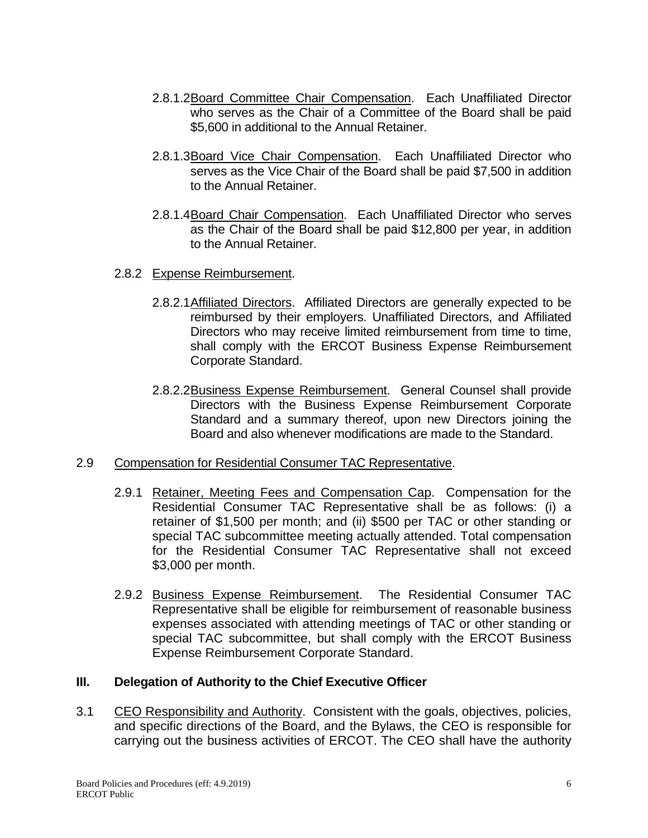- 2.8.1.2Board Committee Chair Compensation. Each Unaffiliated Director who serves as the Chair of a Committee of the Board shall be paid \$5,600 in additional to the Annual Retainer.
- 2.8.1.3Board Vice Chair Compensation. Each Unaffiliated Director who serves as the Vice Chair of the Board shall be paid \$7,500 in addition to the Annual Retainer.
- 2.8.1.4Board Chair Compensation. Each Unaffiliated Director who serves as the Chair of the Board shall be paid \$12,800 per year, in addition to the Annual Retainer.
- 2.8.2 Expense Reimbursement.
	- 2.8.2.1Affiliated Directors. Affiliated Directors are generally expected to be reimbursed by their employers. Unaffiliated Directors, and Affiliated Directors who may receive limited reimbursement from time to time, shall comply with the ERCOT Business Expense Reimbursement Corporate Standard.
	- 2.8.2.2Business Expense Reimbursement. General Counsel shall provide Directors with the Business Expense Reimbursement Corporate Standard and a summary thereof, upon new Directors joining the Board and also whenever modifications are made to the Standard.

#### 2.9 Compensation for Residential Consumer TAC Representative.

- 2.9.1 Retainer, Meeting Fees and Compensation Cap. Compensation for the Residential Consumer TAC Representative shall be as follows: (i) a retainer of \$1,500 per month; and (ii) \$500 per TAC or other standing or special TAC subcommittee meeting actually attended. Total compensation for the Residential Consumer TAC Representative shall not exceed \$3,000 per month.
- 2.9.2 Business Expense Reimbursement. The Residential Consumer TAC Representative shall be eligible for reimbursement of reasonable business expenses associated with attending meetings of TAC or other standing or special TAC subcommittee, but shall comply with the ERCOT Business Expense Reimbursement Corporate Standard.

#### **III. Delegation of Authority to the Chief Executive Officer**

3.1 CEO Responsibility and Authority. Consistent with the goals, objectives, policies, and specific directions of the Board, and the Bylaws, the CEO is responsible for carrying out the business activities of ERCOT. The CEO shall have the authority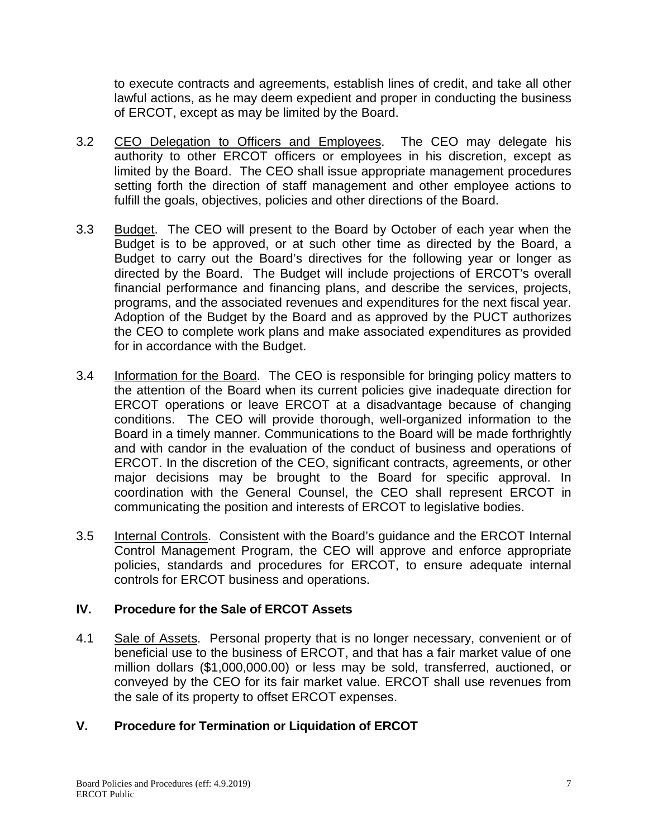to execute contracts and agreements, establish lines of credit, and take all other lawful actions, as he may deem expedient and proper in conducting the business of ERCOT, except as may be limited by the Board.

- 3.2 CEO Delegation to Officers and Employees. The CEO may delegate his authority to other ERCOT officers or employees in his discretion, except as limited by the Board. The CEO shall issue appropriate management procedures setting forth the direction of staff management and other employee actions to fulfill the goals, objectives, policies and other directions of the Board.
- 3.3 Budget. The CEO will present to the Board by October of each year when the Budget is to be approved, or at such other time as directed by the Board, a Budget to carry out the Board's directives for the following year or longer as directed by the Board. The Budget will include projections of ERCOT's overall financial performance and financing plans, and describe the services, projects, programs, and the associated revenues and expenditures for the next fiscal year. Adoption of the Budget by the Board and as approved by the PUCT authorizes the CEO to complete work plans and make associated expenditures as provided for in accordance with the Budget.
- 3.4 Information for the Board. The CEO is responsible for bringing policy matters to the attention of the Board when its current policies give inadequate direction for ERCOT operations or leave ERCOT at a disadvantage because of changing conditions. The CEO will provide thorough, well-organized information to the Board in a timely manner. Communications to the Board will be made forthrightly and with candor in the evaluation of the conduct of business and operations of ERCOT. In the discretion of the CEO, significant contracts, agreements, or other major decisions may be brought to the Board for specific approval. In coordination with the General Counsel, the CEO shall represent ERCOT in communicating the position and interests of ERCOT to legislative bodies.
- 3.5 Internal Controls. Consistent with the Board's guidance and the ERCOT Internal Control Management Program, the CEO will approve and enforce appropriate policies, standards and procedures for ERCOT, to ensure adequate internal controls for ERCOT business and operations.

## **IV. Procedure for the Sale of ERCOT Assets**

4.1 Sale of Assets. Personal property that is no longer necessary, convenient or of beneficial use to the business of ERCOT, and that has a fair market value of one million dollars (\$1,000,000.00) or less may be sold, transferred, auctioned, or conveyed by the CEO for its fair market value. ERCOT shall use revenues from the sale of its property to offset ERCOT expenses.

## **V. Procedure for Termination or Liquidation of ERCOT**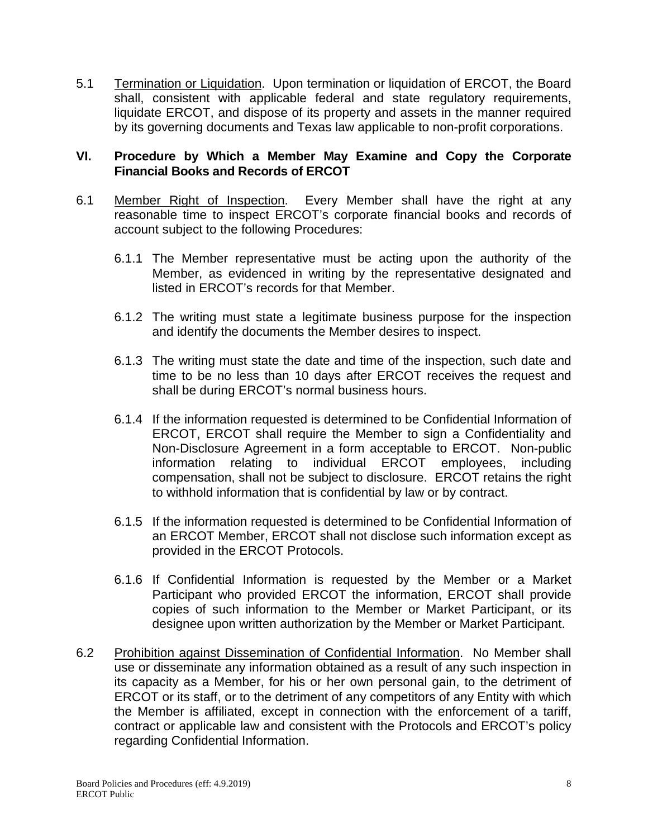5.1 Termination or Liquidation. Upon termination or liquidation of ERCOT, the Board shall, consistent with applicable federal and state regulatory requirements, liquidate ERCOT, and dispose of its property and assets in the manner required by its governing documents and Texas law applicable to non-profit corporations.

#### **VI. Procedure by Which a Member May Examine and Copy the Corporate Financial Books and Records of ERCOT**

- 6.1 Member Right of Inspection. Every Member shall have the right at any reasonable time to inspect ERCOT's corporate financial books and records of account subject to the following Procedures:
	- 6.1.1 The Member representative must be acting upon the authority of the Member, as evidenced in writing by the representative designated and listed in ERCOT's records for that Member.
	- 6.1.2 The writing must state a legitimate business purpose for the inspection and identify the documents the Member desires to inspect.
	- 6.1.3 The writing must state the date and time of the inspection, such date and time to be no less than 10 days after ERCOT receives the request and shall be during ERCOT's normal business hours.
	- 6.1.4 If the information requested is determined to be Confidential Information of ERCOT, ERCOT shall require the Member to sign a Confidentiality and Non-Disclosure Agreement in a form acceptable to ERCOT. Non-public information relating to individual ERCOT employees, including compensation, shall not be subject to disclosure. ERCOT retains the right to withhold information that is confidential by law or by contract.
	- 6.1.5 If the information requested is determined to be Confidential Information of an ERCOT Member, ERCOT shall not disclose such information except as provided in the ERCOT Protocols.
	- 6.1.6 If Confidential Information is requested by the Member or a Market Participant who provided ERCOT the information, ERCOT shall provide copies of such information to the Member or Market Participant, or its designee upon written authorization by the Member or Market Participant.
- 6.2 Prohibition against Dissemination of Confidential Information. No Member shall use or disseminate any information obtained as a result of any such inspection in its capacity as a Member, for his or her own personal gain, to the detriment of ERCOT or its staff, or to the detriment of any competitors of any Entity with which the Member is affiliated, except in connection with the enforcement of a tariff, contract or applicable law and consistent with the Protocols and ERCOT's policy regarding Confidential Information.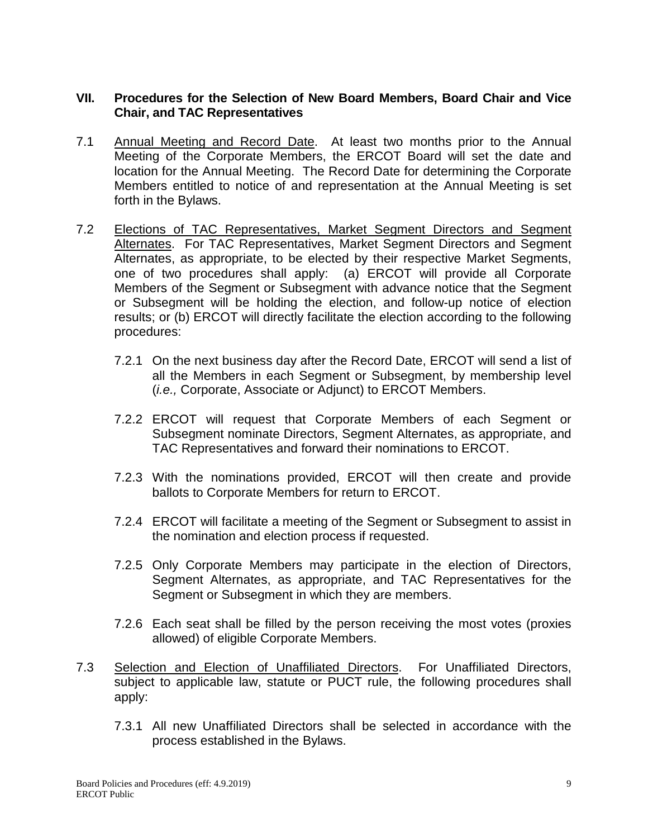### **VII. Procedures for the Selection of New Board Members, Board Chair and Vice Chair, and TAC Representatives**

- 7.1 Annual Meeting and Record Date. At least two months prior to the Annual Meeting of the Corporate Members, the ERCOT Board will set the date and location for the Annual Meeting. The Record Date for determining the Corporate Members entitled to notice of and representation at the Annual Meeting is set forth in the Bylaws.
- 7.2 Elections of TAC Representatives, Market Segment Directors and Segment Alternates. For TAC Representatives, Market Segment Directors and Segment Alternates, as appropriate, to be elected by their respective Market Segments, one of two procedures shall apply: (a) ERCOT will provide all Corporate Members of the Segment or Subsegment with advance notice that the Segment or Subsegment will be holding the election, and follow-up notice of election results; or (b) ERCOT will directly facilitate the election according to the following procedures:
	- 7.2.1 On the next business day after the Record Date, ERCOT will send a list of all the Members in each Segment or Subsegment, by membership level (*i.e.,* Corporate, Associate or Adjunct) to ERCOT Members.
	- 7.2.2 ERCOT will request that Corporate Members of each Segment or Subsegment nominate Directors, Segment Alternates, as appropriate, and TAC Representatives and forward their nominations to ERCOT.
	- 7.2.3 With the nominations provided, ERCOT will then create and provide ballots to Corporate Members for return to ERCOT.
	- 7.2.4 ERCOT will facilitate a meeting of the Segment or Subsegment to assist in the nomination and election process if requested.
	- 7.2.5 Only Corporate Members may participate in the election of Directors, Segment Alternates, as appropriate, and TAC Representatives for the Segment or Subsegment in which they are members.
	- 7.2.6 Each seat shall be filled by the person receiving the most votes (proxies allowed) of eligible Corporate Members.
- 7.3 Selection and Election of Unaffiliated Directors. For Unaffiliated Directors, subject to applicable law, statute or PUCT rule, the following procedures shall apply:
	- 7.3.1 All new Unaffiliated Directors shall be selected in accordance with the process established in the Bylaws.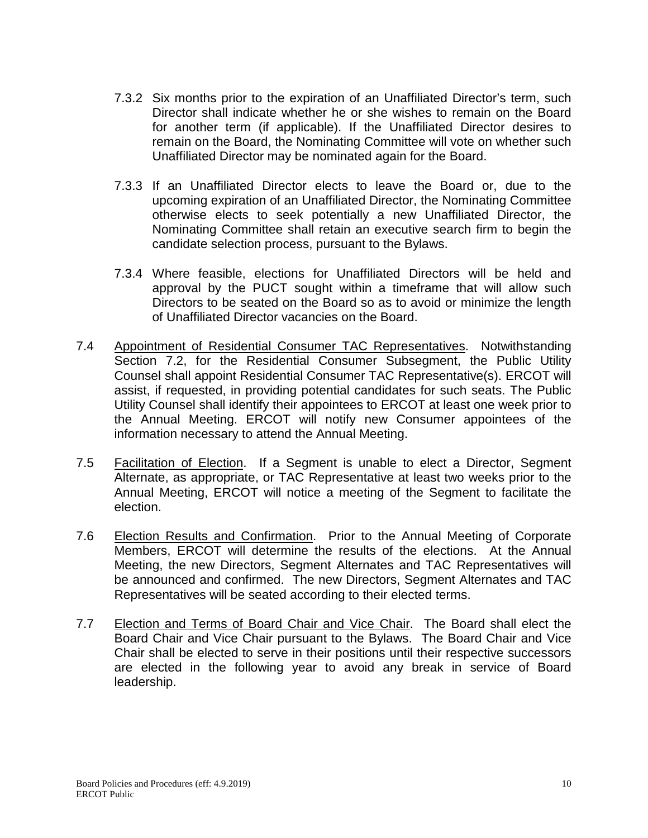- 7.3.2 Six months prior to the expiration of an Unaffiliated Director's term, such Director shall indicate whether he or she wishes to remain on the Board for another term (if applicable). If the Unaffiliated Director desires to remain on the Board, the Nominating Committee will vote on whether such Unaffiliated Director may be nominated again for the Board.
- 7.3.3 If an Unaffiliated Director elects to leave the Board or, due to the upcoming expiration of an Unaffiliated Director, the Nominating Committee otherwise elects to seek potentially a new Unaffiliated Director, the Nominating Committee shall retain an executive search firm to begin the candidate selection process, pursuant to the Bylaws.
- 7.3.4 Where feasible, elections for Unaffiliated Directors will be held and approval by the PUCT sought within a timeframe that will allow such Directors to be seated on the Board so as to avoid or minimize the length of Unaffiliated Director vacancies on the Board.
- 7.4 Appointment of Residential Consumer TAC Representatives. Notwithstanding Section 7.2, for the Residential Consumer Subsegment, the Public Utility Counsel shall appoint Residential Consumer TAC Representative(s). ERCOT will assist, if requested, in providing potential candidates for such seats. The Public Utility Counsel shall identify their appointees to ERCOT at least one week prior to the Annual Meeting. ERCOT will notify new Consumer appointees of the information necessary to attend the Annual Meeting.
- 7.5 Facilitation of Election. If a Segment is unable to elect a Director, Segment Alternate, as appropriate, or TAC Representative at least two weeks prior to the Annual Meeting, ERCOT will notice a meeting of the Segment to facilitate the election.
- 7.6 Election Results and Confirmation. Prior to the Annual Meeting of Corporate Members, ERCOT will determine the results of the elections. At the Annual Meeting, the new Directors, Segment Alternates and TAC Representatives will be announced and confirmed. The new Directors, Segment Alternates and TAC Representatives will be seated according to their elected terms.
- 7.7 Election and Terms of Board Chair and Vice Chair. The Board shall elect the Board Chair and Vice Chair pursuant to the Bylaws. The Board Chair and Vice Chair shall be elected to serve in their positions until their respective successors are elected in the following year to avoid any break in service of Board leadership.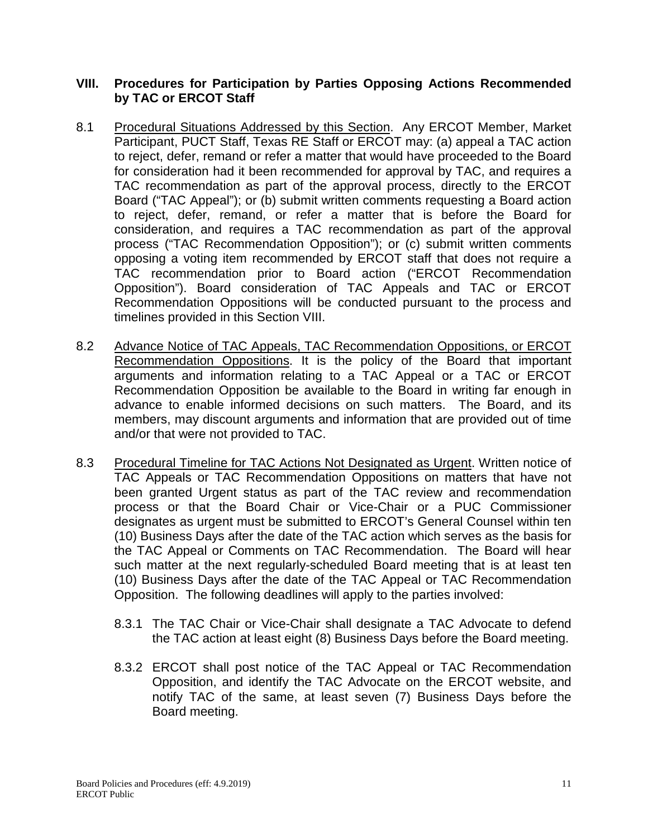#### **VIII. Procedures for Participation by Parties Opposing Actions Recommended by TAC or ERCOT Staff**

- 8.1 Procedural Situations Addressed by this Section. Any ERCOT Member, Market Participant, PUCT Staff, Texas RE Staff or ERCOT may: (a) appeal a TAC action to reject, defer, remand or refer a matter that would have proceeded to the Board for consideration had it been recommended for approval by TAC, and requires a TAC recommendation as part of the approval process, directly to the ERCOT Board ("TAC Appeal"); or (b) submit written comments requesting a Board action to reject, defer, remand, or refer a matter that is before the Board for consideration, and requires a TAC recommendation as part of the approval process ("TAC Recommendation Opposition"); or (c) submit written comments opposing a voting item recommended by ERCOT staff that does not require a TAC recommendation prior to Board action ("ERCOT Recommendation Opposition"). Board consideration of TAC Appeals and TAC or ERCOT Recommendation Oppositions will be conducted pursuant to the process and timelines provided in this Section VIII.
- 8.2 Advance Notice of TAC Appeals, TAC Recommendation Oppositions, or ERCOT Recommendation Oppositions. It is the policy of the Board that important arguments and information relating to a TAC Appeal or a TAC or ERCOT Recommendation Opposition be available to the Board in writing far enough in advance to enable informed decisions on such matters. The Board, and its members, may discount arguments and information that are provided out of time and/or that were not provided to TAC.
- 8.3 Procedural Timeline for TAC Actions Not Designated as Urgent. Written notice of TAC Appeals or TAC Recommendation Oppositions on matters that have not been granted Urgent status as part of the TAC review and recommendation process or that the Board Chair or Vice-Chair or a PUC Commissioner designates as urgent must be submitted to ERCOT's General Counsel within ten (10) Business Days after the date of the TAC action which serves as the basis for the TAC Appeal or Comments on TAC Recommendation. The Board will hear such matter at the next regularly-scheduled Board meeting that is at least ten (10) Business Days after the date of the TAC Appeal or TAC Recommendation Opposition. The following deadlines will apply to the parties involved:
	- 8.3.1 The TAC Chair or Vice-Chair shall designate a TAC Advocate to defend the TAC action at least eight (8) Business Days before the Board meeting.
	- 8.3.2 ERCOT shall post notice of the TAC Appeal or TAC Recommendation Opposition, and identify the TAC Advocate on the ERCOT website, and notify TAC of the same, at least seven (7) Business Days before the Board meeting.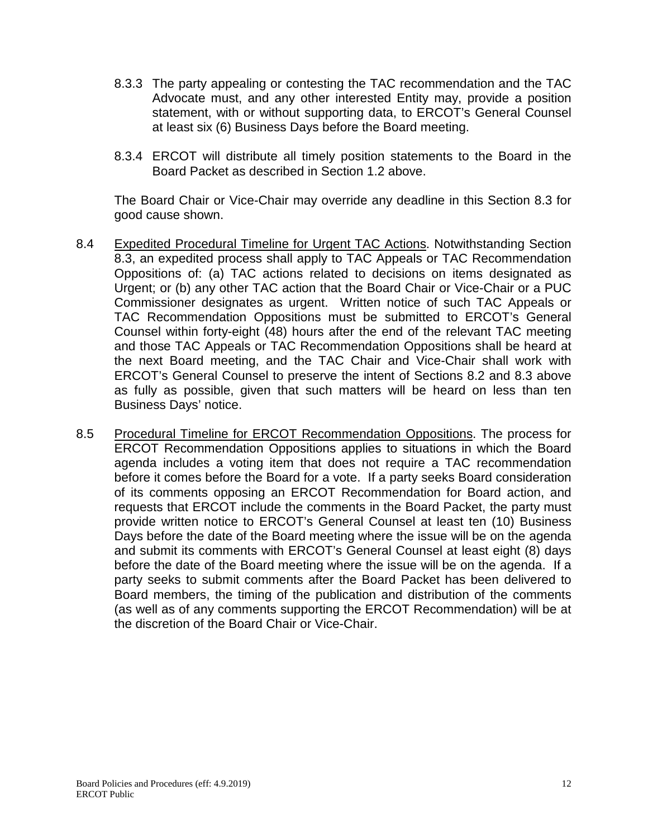- 8.3.3 The party appealing or contesting the TAC recommendation and the TAC Advocate must, and any other interested Entity may, provide a position statement, with or without supporting data, to ERCOT's General Counsel at least six (6) Business Days before the Board meeting.
- 8.3.4 ERCOT will distribute all timely position statements to the Board in the Board Packet as described in Section 1.2 above.

The Board Chair or Vice-Chair may override any deadline in this Section 8.3 for good cause shown.

- 8.4 Expedited Procedural Timeline for Urgent TAC Actions. Notwithstanding Section 8.3, an expedited process shall apply to TAC Appeals or TAC Recommendation Oppositions of: (a) TAC actions related to decisions on items designated as Urgent; or (b) any other TAC action that the Board Chair or Vice-Chair or a PUC Commissioner designates as urgent. Written notice of such TAC Appeals or TAC Recommendation Oppositions must be submitted to ERCOT's General Counsel within forty-eight (48) hours after the end of the relevant TAC meeting and those TAC Appeals or TAC Recommendation Oppositions shall be heard at the next Board meeting, and the TAC Chair and Vice-Chair shall work with ERCOT's General Counsel to preserve the intent of Sections 8.2 and 8.3 above as fully as possible, given that such matters will be heard on less than ten Business Days' notice.
- 8.5 Procedural Timeline for ERCOT Recommendation Oppositions. The process for ERCOT Recommendation Oppositions applies to situations in which the Board agenda includes a voting item that does not require a TAC recommendation before it comes before the Board for a vote. If a party seeks Board consideration of its comments opposing an ERCOT Recommendation for Board action, and requests that ERCOT include the comments in the Board Packet, the party must provide written notice to ERCOT's General Counsel at least ten (10) Business Days before the date of the Board meeting where the issue will be on the agenda and submit its comments with ERCOT's General Counsel at least eight (8) days before the date of the Board meeting where the issue will be on the agenda. If a party seeks to submit comments after the Board Packet has been delivered to Board members, the timing of the publication and distribution of the comments (as well as of any comments supporting the ERCOT Recommendation) will be at the discretion of the Board Chair or Vice-Chair.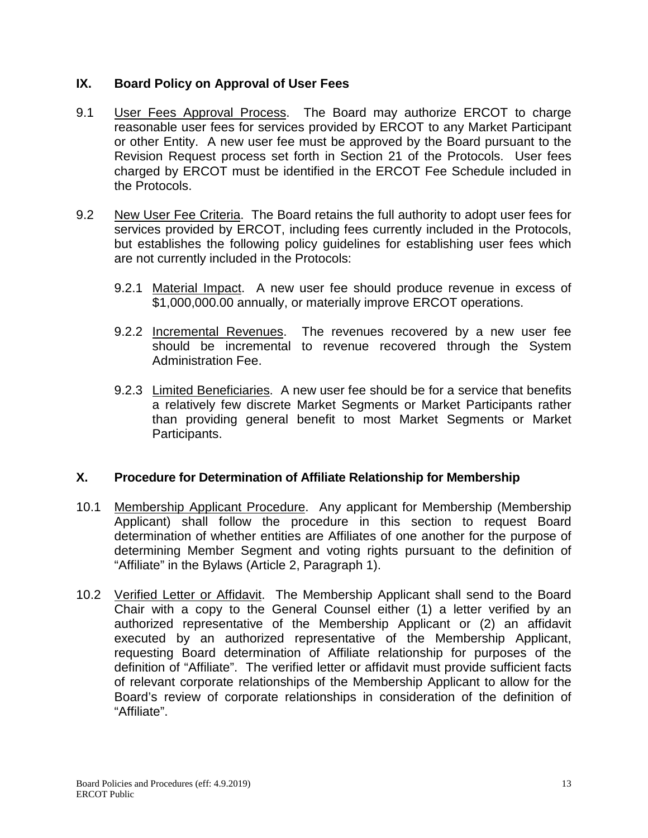### **IX. Board Policy on Approval of User Fees**

- 9.1 User Fees Approval Process. The Board may authorize ERCOT to charge reasonable user fees for services provided by ERCOT to any Market Participant or other Entity. A new user fee must be approved by the Board pursuant to the Revision Request process set forth in Section 21 of the Protocols. User fees charged by ERCOT must be identified in the ERCOT Fee Schedule included in the Protocols.
- 9.2 New User Fee Criteria. The Board retains the full authority to adopt user fees for services provided by ERCOT, including fees currently included in the Protocols, but establishes the following policy guidelines for establishing user fees which are not currently included in the Protocols:
	- 9.2.1 Material Impact. A new user fee should produce revenue in excess of \$1,000,000.00 annually, or materially improve ERCOT operations.
	- 9.2.2 Incremental Revenues. The revenues recovered by a new user fee should be incremental to revenue recovered through the System Administration Fee.
	- 9.2.3 Limited Beneficiaries. A new user fee should be for a service that benefits a relatively few discrete Market Segments or Market Participants rather than providing general benefit to most Market Segments or Market Participants.

## **X. Procedure for Determination of Affiliate Relationship for Membership**

- 10.1 Membership Applicant Procedure. Any applicant for Membership (Membership Applicant) shall follow the procedure in this section to request Board determination of whether entities are Affiliates of one another for the purpose of determining Member Segment and voting rights pursuant to the definition of "Affiliate" in the Bylaws (Article 2, Paragraph 1).
- 10.2 Verified Letter or Affidavit. The Membership Applicant shall send to the Board Chair with a copy to the General Counsel either (1) a letter verified by an authorized representative of the Membership Applicant or (2) an affidavit executed by an authorized representative of the Membership Applicant, requesting Board determination of Affiliate relationship for purposes of the definition of "Affiliate". The verified letter or affidavit must provide sufficient facts of relevant corporate relationships of the Membership Applicant to allow for the Board's review of corporate relationships in consideration of the definition of "Affiliate".